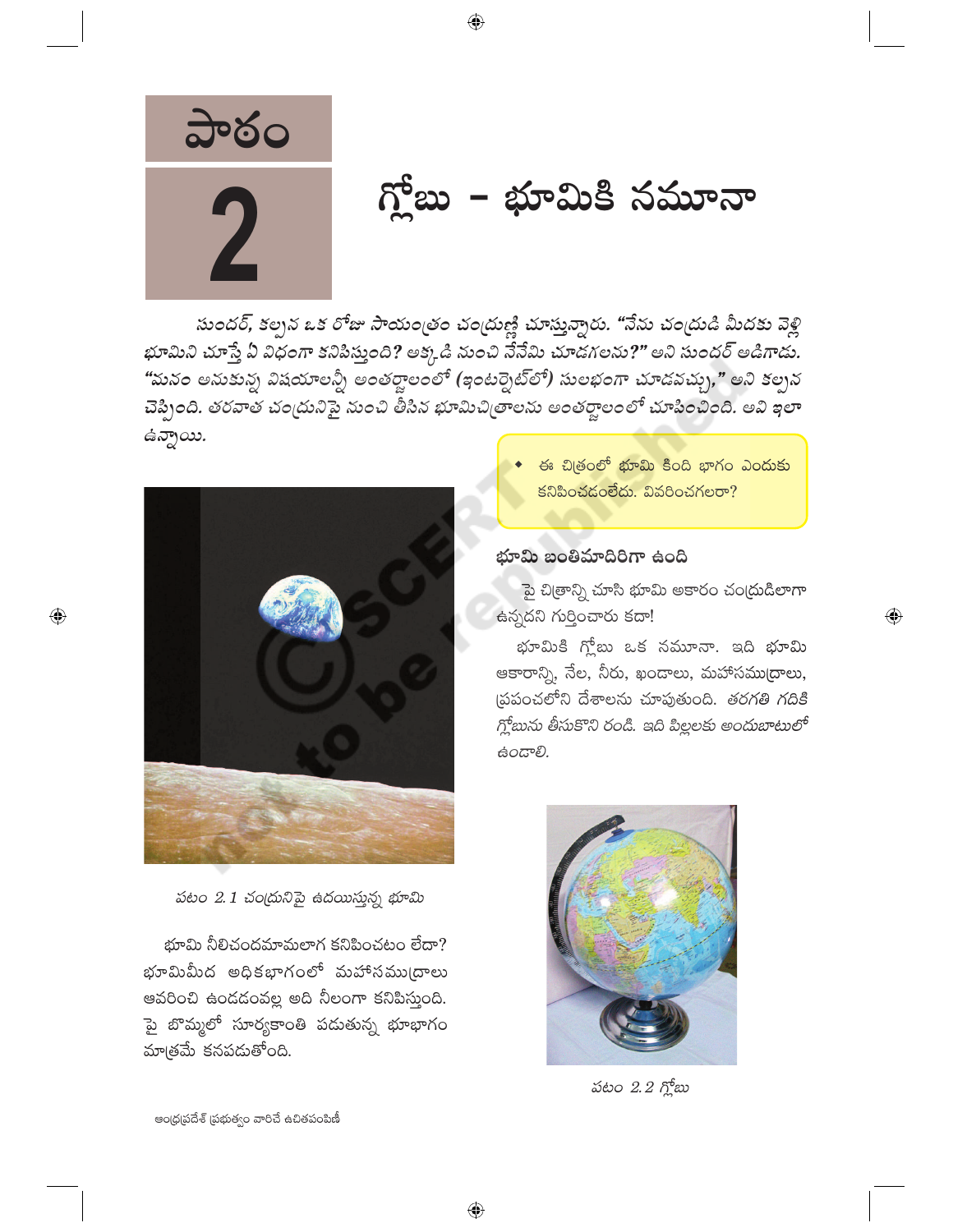

# గ్లోబు – భూమికి నమూనా

సుందర్, కల్పన ఒక రోజు సాయంత్రం చంద్రుణ్ణి చూస్తున్నారు. "నేను చంద్రుడి మీదకు వెళ్లి భూమిని చూస్తే ఏ విధంగా కనిపిస్తుంది? అక్కడి నుంచి నేనేమి చూడగలను?" అని సుందర్ అడిగాడు. "మనం అనుకున్న విషయాలన్నీ అంతర్జాలంలో (ఇంటర్నెట్లో) సులభంగా చూడవచ్చు," అని కల్పన చెప్పింది. తరవాత చంద్రునిపై నుంచి తీసిన భూమిచిత్రాలను అంతర్జాలంలో చూపించింది. అవి ఇలా ఉన్నాయి.

 $\bigoplus$ 



 $\bigoplus$ 

పటం 2.1 చం(దునిపై ఉదయిస్తున్న భూమి

భూమి నీలిచందమామలాగ కనిపించటం లేదా? భూమిమీద అధికభాగంలో మహాసము(దాలు ఆవరించి ఉండడంవల్ల అది నీలంగా కనిపిస్తుంది. పై బొమ్మలో సూర్యకాంతి పడుతున్న భూభాగం మాత్రమే కనపడుతోంది.

ఈ చిత్రంలో <mark>భూమి కిం</mark>ది భాగం ఎందుకు కనిపించడంలేదు. వివరించగలరా?

#### భూమి బంతిమాదిరిగా ఉంది

పై చిత్రాన్ని చూసి భూమి అకారం చంద్రుడిలాగా ఉన్నదని గుర్తించారు కదా!

 $\overline{\mathbb{Q}}$ 

భూమికి గ్లోబు ఒక నమూనా. ఇది భూమి ఆకారాన్ని, నేల, నీరు, ఖండాలు, మహాసముద్రాలు, (పపంచలోని దేశాలను చూపుతుంది. తరగతి గదికి గ్లోబును తీసుకొని రండి. ఇది పిల్లలకు అందుబాటులో ఉండాలి.



పటం 2.2 గ్లోబు

ఆంధ్రప్రదేశ్ (పభుత్వం వారిచే ఉచితపంపిణీ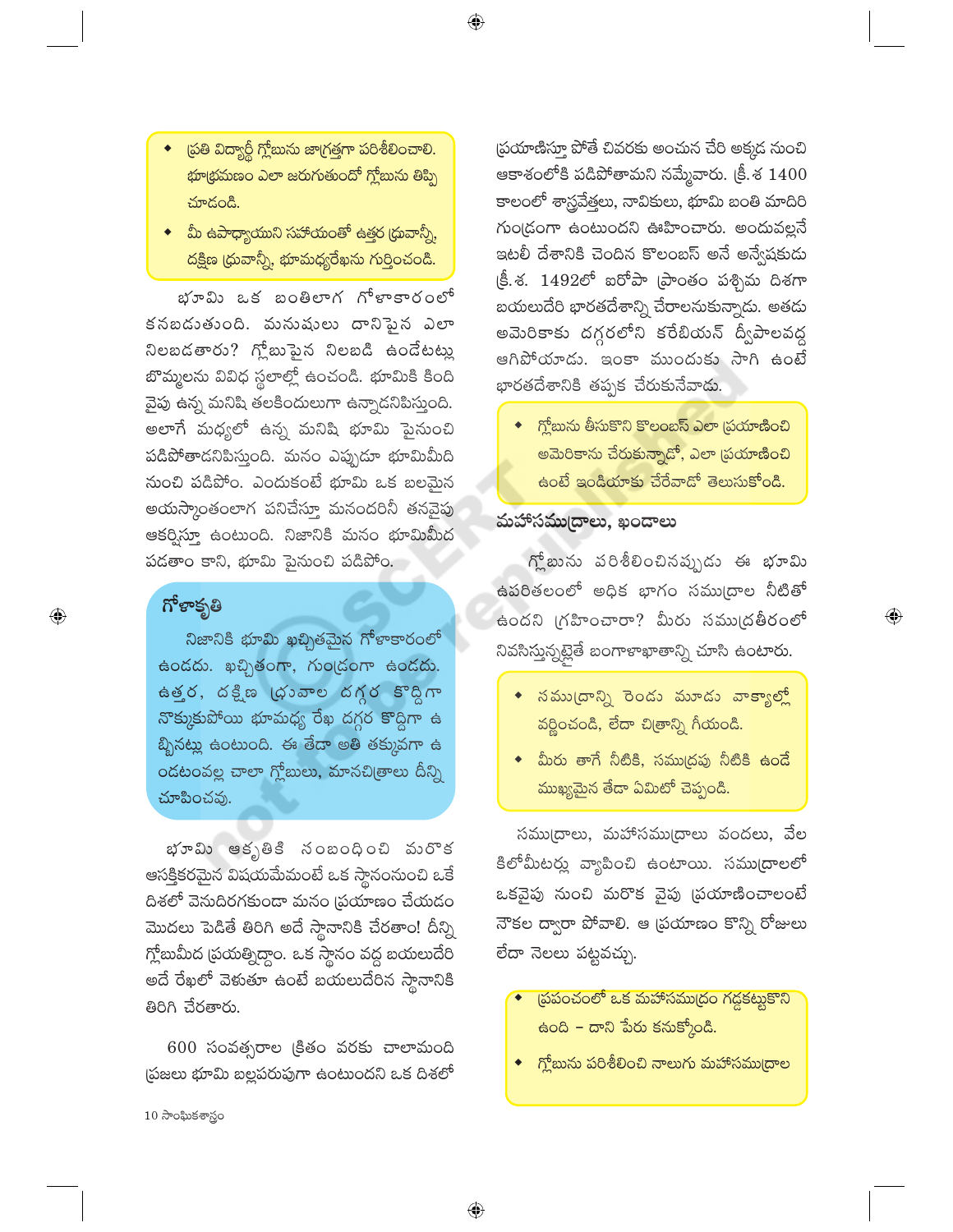- ◆ ప్రతి విద్యార్థీ గ్లోబును జాగ్రత్తగా పరిశీలించాలి. భూ(భమణం ఎలా జరుగుతుందో గ్లోబును తిప్పి చూదండి.
- ◆ మీ ఉపాధ్యాయుని సహాయంతో ఉత్తర (ధువాన్నీ, దక్షిణ (ధువాన్నీ, భూమధ్యరేఖను గుర్తించండి.

భూమి ఒక బంతిలాగ గోళాకారంలో కనబడుతుంది. మనుషులు దానిపైన ఎలా నిలబడతారు? గ్లోబుపైన నిలబడి ఉండేటట్లు బొమ్మలను వివిధ స్థలాల్లో ఉంచండి. భూమికి కింది వైపు ఉన్న మనిషి తలకిందులుగా ఉన్నాడనిపిస్తుంది. అలాగే మధ్యలో ఉన్న మనిషి భూమి పైనుంచి పడిపోతాడనిపిస్తుంది. మనం ఎప్పుడూ భూమిమీది నుంచి పడిపోం. ఎందుకంటే భూమి ఒక బలమైన అయస్కాంతంలాగ పనిచేస్తూ మనందరినీ తనవైపు ఆకర్విస్తూ ఉంటుంది. నిజానికి మనం భూమిమీద పడతాం కాని, భూమి పైనుంచి పడిపోం.

# గోళాకృతి

 $\bigoplus$ 

నిజానికి భూమి ఖచ్చితమైన గోళాకారంలో ఉండదు. ఖచ్చితంగా, గుండ్రంగా ఉండదు. ఉత్తర, దక్షిణ (భువాల దగ్గర కొద్దిగా నొక్కుకుపోయి భూమధ్య రేఖ దగ్గర కొద్దిగా ఉ బ్బినట్లు ఉంటుంది. ఈ తేడా అతి తక్కువగా ఉ ండటంవల్ల చాలా గ్లోబులు, మానచి(తాలు దీన్ని చూపించవు.

భూమి ఆకృతికి నంబంధించి మరొక ఆసక్తికరమైన విషయమేమంటే ఒక స్థానంనుంచి ఒకే దిశలో వెనుదిరగకుండా మనం (పయాణం చేయడం మొదలు పెడితే తిరిగి అదే స్థానానికి చేరతాం! దీన్ని గ్లోబుమీద (పయత్నిద్దాం. ఒక స్థానం వద్ద బయలుదేరి అదే రేఖలో వెళుతూ ఉంటే బయలుదేరిన *స్థానాని*కి తిరిగి చేరతారు.

 $600$  సంవత్సరాల క్రితం వరకు చాలామంది ప్రజలు భూమి బల్లపరుపుగా ఉంటుందని ఒక దిశలో

 $\bigoplus$ 

(పయాణిస్తూ పోతే చివరకు అంచున చేరి అక్కడ నుంచి ఆకాశంలోకి పడిపోతామని నమ్మేవారు. క్రీ.శ  $1400\,$ కాలంలో శాస్త్రవేత్తలు, నావికులు, భూమి బంతి మాదిరి గుండ్రంగా ఉంటుందని ఊహించారు. అందువల్లనే ఇటలీ దేశానికి చెందిన కొలంబస్ అనే అన్వేషకుడు  $\xi$ . శ. 1492లో ఐరోపా (పాంతం పశ్చిమ దిశగా బయలుదేరి భారతదేశాన్ని చేరాలనుకున్నాడు. అతడు అమెరికాకు దగ్గరలోని కరేబియన్ ద్వీపాలవద్ద ఆగిపోయాడు. ఇంకా ముందుకు సాగి ఉంటే భారతదేశానికి తప్పక చేరుకునేవాడు.

్గ్లోబును తీసుకొని కొలంబస్ ఎలా (పయాణించి అమెరికాను చేరుకున్నాడో, ఎలా <mark>(పయాణించ</mark>ి ఉంటే ఇండియాకు చేరేవాడో తెలుసుకోండి.

### మహాసముద్రాలు, ఖండాలు

 $\mathfrak{f}_n^{\mathfrak{b}}$ బును పరిశీలించినప్పుడు ఈ భూమి ఉపరితలంలో అధిక భాగం సము[దాల నీటితో ఉందని గ్రహించారా? మీరు సముద్రతీరంలో నివసిస్తున్నట్లైతే బంగాళాఖాతాన్ని చూసి ఉంటారు.

 $\textcircled{\scriptsize\textsf{P}}$ 

- $\bullet$  నము(దాన్ని రెండు మూడు వాక్యాల్లో వర్ణించండి, లేదా చి(తాన్ని గీయండి.
- $\bullet$  మీరు తాగే నీటికి, సముద్రపు నీటికి ఉండే ముఖ్యమైన తేడా ఏమిటో చెప్పండి.

సము(దాలు, మహాసము(దాలు వందలు, వేల కిలోమీటర్లు వ్యాపించి ఉంటాయి. సము[దాలలో ఒకవైపు నుంచి మరొక వైపు (పయాణించాలంటే నౌకల ద్వారా పోవాలి. ఆ (పయాణం కొన్ని రోజులు లేదా నెలలు పట్టవచ్చు.

- (పపంచంలో ఒక మహాసముద్రం గడ్డకట్టుకొని ఉంది – దాని పేరు కనుక్కోండి.
- ్కోబును పరిశీలించి నాలుగు మహాసము(దాల

 $10\omega$ ాంఘికశాస్త్రం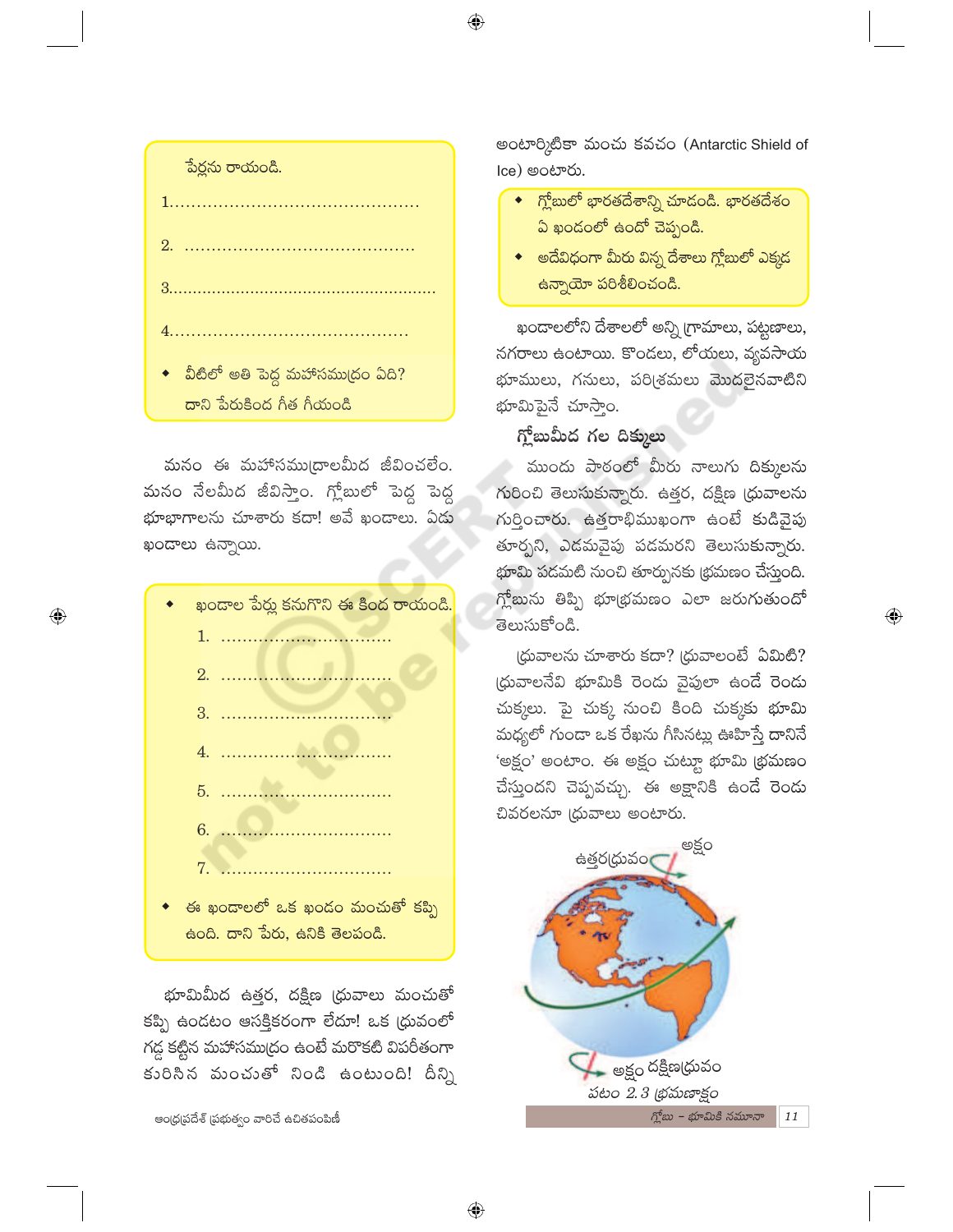⊕



మనం ఈ మహాసము(దాలమీద జీవించలేం. మనం నేలమీద జీవిస్తాం. గ్లోబులో పెద్ద పెద్ద భూభాగాలను చూశారు కదా! అవే ఖందాలు. ఏదు ఖండాలు ఉన్నాయి.

⊕

- ఖందాల పేర్లు కనుగొని ఈ కింద రాయండి. - ఈ ఖందాలలో ఒక ఖండం మంచుతో కప్పి
- ఉంది. దాని పేరు, ఉనికి తెలపండి.

భూమిమీద ఉత్తర, దక్షిణ (ధువాలు మంచుతో కప్పి ఉండటం ఆసక్తికరంగా లేదూ! ఒక (ధువంలో గడ్డ కట్టిన మహాసముద్రం ఉంటే మరొకటి విపరీతంగా కురిసిన మంచుతో నిండి ఉంటుంది! దీన్ని

ఆంధ్ర(పదేశ్ (పభుత్వం వారిచే ఉచితపంపిణీ

అంటార్కిటికా మంచు కవచం (Antarctic Shield of Ice) అంటారు.

- $\bullet$  గ్లోబులో భారతదేశాన్ని చూదండి. భారతదేశం ఏ ఖండంలో ఉందో చెప్పండి.
- $\bullet$  అదేవిధంగా మీరు విన్న దేశాలు గ్లోబులో ఎక్కడ <mark>ఉన్నాయో పరిశీలించండి.</mark>

ఖందాలలోని దేశాలలో అన్ని గ్రామాలు, పట్టణాలు, నగరాలు ఉంటాయి. కొండలు, లోయలు, వ్యవసాయ భూములు, గనులు, పరిశ్రమలు మొదలైనవాటిని భూమిపైనే చూసాం.

#### గ్లోబుమీద గల దిక్కులు

ముందు పాఠంలో మీరు నాలుగు దిక్కులను గురించి తెలుసుకున్నారు. ఉత్తర, దక్షిణ (ధువాలను గుర్తించారు. ఉత్తరాభిముఖంగా ఉంటే కుడివైపు తూర్భని, ఎడమవైపు పడమరని తెలుసుకున్నారు. భూమి పడమటి నుంచి తూర్పునకు (భమణం చేస్తుంది. గ్లోబును తిప్పి భూ(భమణం ఎలా జరుగుతుందో తెలుసుకోండి.

 $\textcircled{\scriptsize\textsf{P}}$ 

(ధువాలను చూశారు కదా? (ధువాలంటే ఏమిటి? (ధువాలనేవి భూమికి రెండు వైపులా ఉండే రెండు చుక్కలు. పై చుక్క నుంచి కింది చుక్కకు భూమి మధ్యలో గుండా ఒక రేఖను గీసినట్లు ఊహిస్తే దానినే 'అక్షం' అంటాం. ఈ అక్షం చుట్యూ భూమి (భమణం చేస్తుందని చెప్పవచ్చు. ఈ అక్షానికి ఉండే రెండు చివరలనూ (ధువాలు అంటారు.

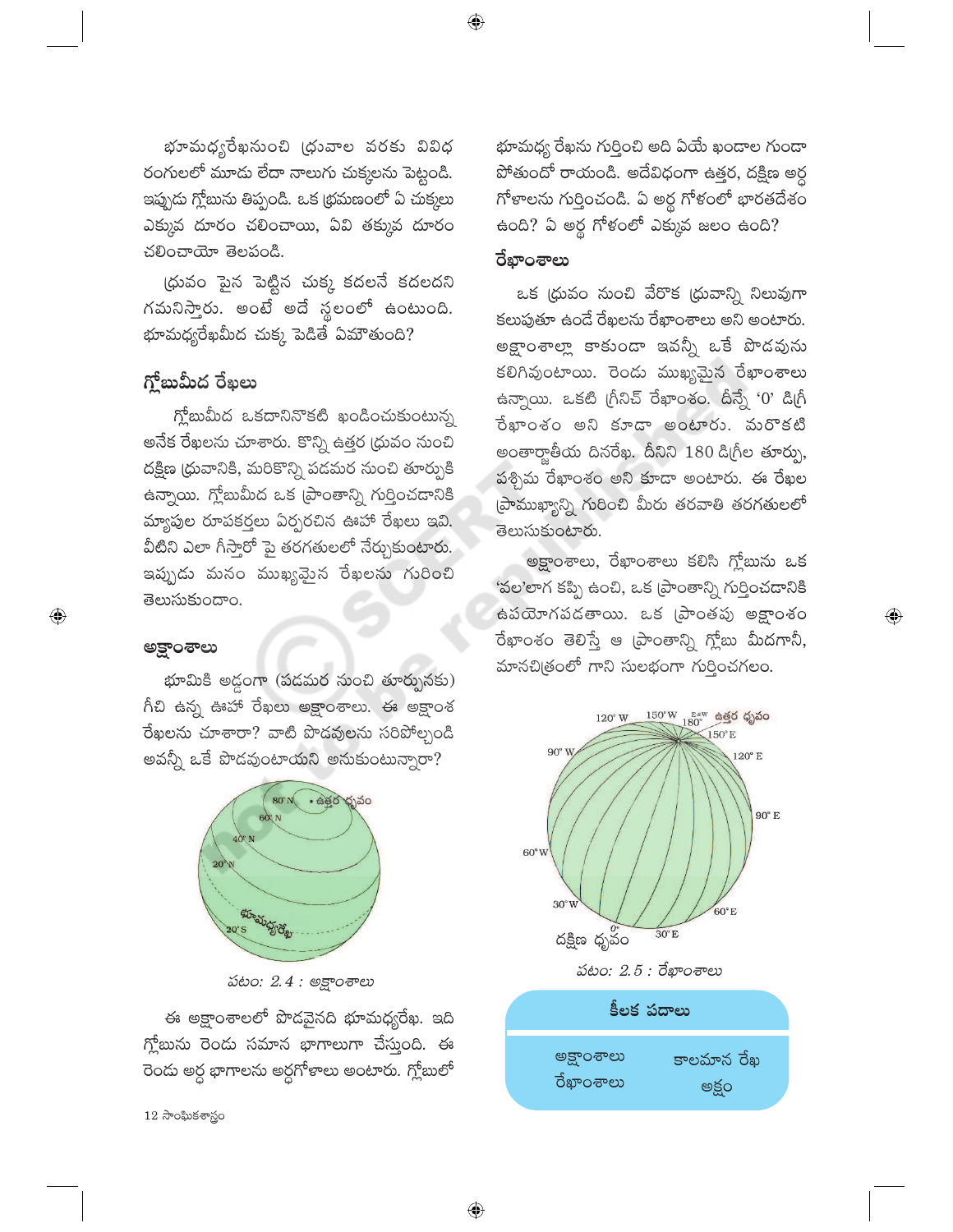భూమధ్యరేఖనుంచి (ధువాల వరకు వివిధ రంగులలో మూడు లేదా నాలుగు చుక్కలను పెట్టండి. ఇప్పుడు గ్లోబును తిప్పండి. ఒక (భమణంలో ఏ చుక్కలు ఎక్కువ దూరం చలించాయి, ఏవి తక్కువ దూరం చలించాయో తెలపండి.

(ధువం పైన పెట్టిన చుక్క కదలనే కదలదని గమనిస్తారు. అంటే అదే స్థలంలో ఉంటుంది. భూమధ్యరేఖమీద చుక్క పెడితే ఏమౌతుంది?

# గ్తోబుమీద రేఖలు

గ్లోబుమీద ఒకదానినొకటి ఖండించుకుంటున్న అనేక రేఖలను చూశారు. కొన్ని ఉత్తర (ధువం నుంచి దక్షిణ (ధువానికి, మరికొన్ని పడమర నుంచి తూర్పుకి ఉన్నాయి. గ్లోబుమీద ఒక (పాంతాన్ని గుర్తించడానికి మ్యాపుల రూపకర్తలు ఏర్పరచిన ఊహా రేఖలు ఇవి. వీటిని ఎలా గీస్తారో పై తరగతులలో నేర్చుకుంటారు. ఇప్పుడు మనం ముఖ్యమైన రేఖలను గురించి తెలుసుకుందాం.

#### అక్షాంశాలు

 $\bigoplus$ 

భూమికి అడ్డంగా (పడమర నుంచి తూర్పునకు) గీచి ఉన్న ఊహా రేఖలు అక్షాంశాలు. ఈ అక్షాంశ రేఖలను చూశారా? వాటి పొడవులను సరిపోల్చండి అవన్నీ ఒకే పొడవుంటాయని అనుకుంటున్నారా?



పటం: 2.4 : అక్షాంశాలు

ఈ అక్షాంశాలలో పొడవైనది భూమధ్యరేఖ. ఇది గ్లోబును రెండు సమాన భాగాలుగా చేస్తుంది. ఈ రెండు అర్ధ భాగాలను అర్ధగోళాలు అంటారు. గ్లోబులో

 $12$  సాంఘికశాస్త్రం

భూమధ్య రేఖను గుర్తించి అది ఏయే ఖండాల గుండా పోతుందో రాయండి. అదేవిధంగా ఉత్తర, దక్షిణ అర్ద గోళాలను గుర్తించండి. ఏ అర్థ గోళంలో భారతదేశం ఉంది? ఏ అర్థ గోళంలో ఎక్కువ జలం ఉంది?

#### రేఖాంశాలు

 $\bigoplus$ 

ఒక (ధువం నుంచి వేరొక (ధువాన్ని నిలువుగా కలుపుతూ ఉండే రేఖలను రేఖాంశాలు అని అంటారు. అక్షాంశాల్లా కాకుండా ఇవన్నీ ఒకే పొడవును కలిగివుంటాయి. రెండు ముఖ్యమైన రేఖాంశాలు ఉన్నాయి. ఒకటి గ్రీనిచ్ రేఖాంశం. దీన్నే '0' డిగ్రీ రేఖాంశం అని కూడా అంటారు. మరొకటి అంతార్హాతీయ దినరేఖ. దీనిని 180 డిగ్రీల తూర్పు, పళ్చిమ రేఖాంశం అని కూడా అంటారు. ఈ రేఖల (పాముఖ్యాన్ని గురించి మీరు తరవాతి తరగతులలో తెలుసుకుంటారు.

అక్షాంశాలు, రేఖాంశాలు కలిసి గ్లోబును ఒక 'వల'లాగ కప్పి ఉంచి, ఒక (పాంతాన్ని గుర్తించడానికి ఉపయోగపడతాయి. ఒక [పాంతపు అక్షాంశం రేఖాంశం తెలిస్తే ఆ (పాంతాన్ని గ్లోబు మీదగానీ, మానచిత్రంలో గాని సులభంగా గుర్తించగలం.

 $\bigoplus$ 





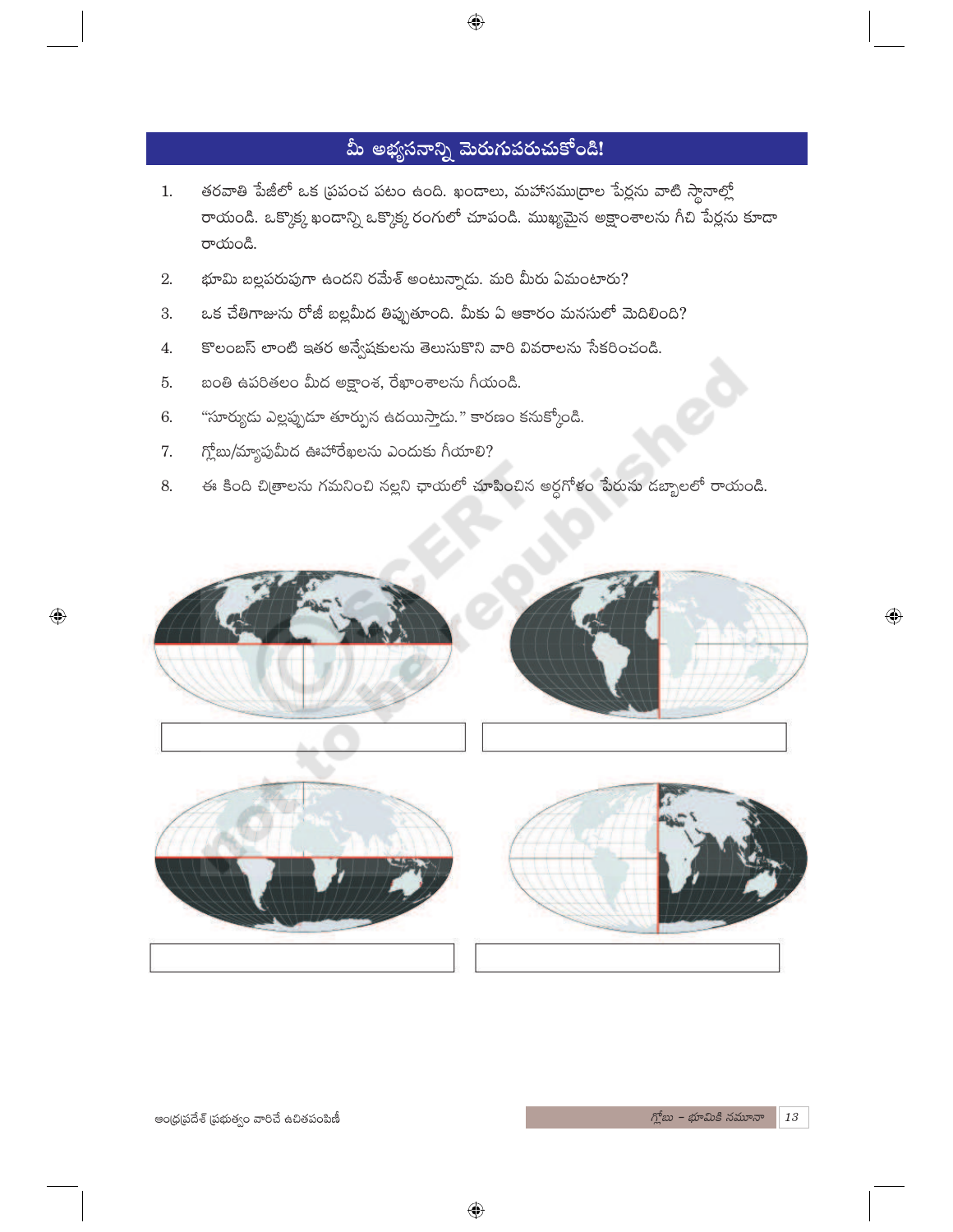# మీ అభ్యసనాన్ని మెరుగుపరుచుకోండి!

 $\bigoplus$ 

- తరవాతి పేజీలో ఒక ప్రపంచ పటం ఉంది. ఖండాలు, మహాసముద్రాల పేర్లను వాటి స్థానాల్లో  $1.$ రాయండి. ఒక్కొక్క ఖండాన్ని ఒక్కొక్క రంగులో చూపండి. ముఖ్యమైన అక్షాంశాలను గీచి పేర్లను కూడా రాయండి.
- భూమి బల్లపరుపుగా ఉందని రమేశ్ అంటున్నాడు. మరి మీరు ఏమంటారు? 2.
- ఒక చేతిగాజును రోజీ బల్లమీద తిప్పుతూంది. మీకు ఏ ఆకారం మనసులో మెదిలింది? 3.
- కొలంబస్ లాంటి ఇతర అన్వేషకులను తెలుసుకొని వారి వివరాలను సేకరించండి.  $4.$
- బంతి ఉపరితలం మీద అక్షాంశ, రేఖాంశాలను గీయండి. 5.
- "సూర్యుడు ఎల్లప్పుడూ తూర్పున ఉదయిస్తాడు." కారణం కనుక్కోండి. 6.
- గ్లోబు/మ్యాపుమీద ఊహారేఖలను ఎందుకు గీయాలి? 7.
- ఈ కింది చిత్రాలను గమనించి నల్లని ఛాయలో చూపించిన అర్ధగోళం పేరును డబ్బాలలో రాయండి. 8.



 $\bigoplus$